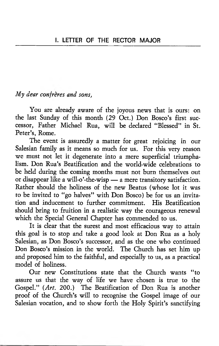# *My dear confreres and sons,*

You are already aware of the joyous news that is ours: on the last Sunday of this month (29 Oct.) Don Bosco's first successor, Father Michael Rua, will be declared " Blessed" in St. Peter's, Rome.

The event is assuredly a matter for great rejoicing in our Salesian family as it means so much for us. For this very reason we must not let it degenerate into a mere superficial triumphalism. Don Rua's Beatification and the world-wide celebrations to be held during the coming months must not burn themselves out or disappear like a will-o'-the-wisp — a mere transitory satisfaction. Rather should the holiness of the new Beatus (whose lot it was to be invited to "go halves" with Don Bosco) be for us an invitation and inducement to further commitment. His Beatification should bring to fruition in a realistic way the courageous renewal which the Special General Chapter has commended to us.

It is clear that the surest and most efficacious way to attain this goal is to stop and take a good look at Don Rua as a holy Salesian, as Don Bosco's successor, and as the one who continued Don Bosco's mission in the world. The Church has set him up and proposed him to the faithful, and especially to us, as a practical model of holiness.

Our new Constitutions state that the Church wants " to assure us that the way of life we have chosen is true to the Gospel." *{Art.* 200.) The Beatification of Don Rua is another proof of the Church's will to recognise the Gospel image of our Salesian vocation, and to show forth the Holy Spirit's sanctifying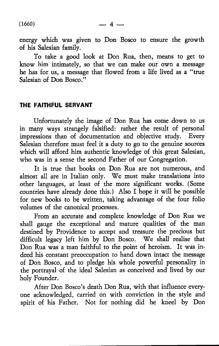energy which was given to Don Bosco to ensure the growth of his Salesian family.

To take a good look at Don Rua, then, means to get to know him intimately, so that we can make our own a message he has for us, a message that flowed from a life lived as a " true Salesian of Don Bosco."

# THE FAITHFUL SERVANT

Unfortunately the image of Don Rua has come down to us in many ways strangely falsified: rather the result of personal impressions than of documentation and objective study. Every Salesian therefore must feel it a duty to go to the genuine sources which will afford him authentic knowledge of this great Salesian, who was in a sense the second Father of our Congregation.

It is true that books on Don Rua are not numerous, and almost all are in Italian only. We must make translations into other languages, at least of the more significant works. (Some countries have already done this.) Also I hope it will be possible for new books to be written, taking advantage of the four folio volumes of the canonical processes.

From an accurate and complete knowledge of Don Rua we shall gauge the exceptional and mature qualities of the man destined by Providence to accept and treasure the precious but difficult legacy left him by Don Bosco. We shall realise that Don Rua was a man faithful to the point of heroism. It was indeed his constant preoccupation to hand down intact the message of Don Bosco, and to pledge his whole powerful personality in the portrayal of the ideal Salesian as conceived and lived by our holy Founder.

After Don Bosco's death Don Rua, with that influence everyone acknowledged, carried on with conviction in the style and spirit of his Father. Not for nothing did he kneel by Don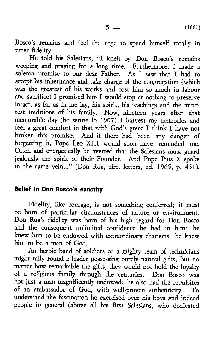Bosco's remains and feel the urge to spend himself totally in utter fidelity.

He told his Salesians, "I knelt by Don Bosco's remains weeping and praying for a long time. Furthermore, I made a solemn promise to our dear Father. As I saw that I had to accept his inheritance and take charge of the congregation (which was the greatest of his works and cost him so much in labour and sacrifice) I promised him I would stop at nothing to preserve intact, as far as in me lay, his spirit, his teachings and the minutest traditions of his family. Now, nineteen years after that memorable day (he wrote in 1907) I harvest my memories and feel a great comfort in that with God's grace I think I have not broken this promise. And if there had been any danger of forgetting it, Pope Leo XIII would soon have reminded me. Often and energetically he averred that the Salesians must guard jealously the spirit of their Founder. And Pope Pius X spoke in the same vein..." (Don Rua, circ. letters, ed. 1965, p. 431).

### Belief in Don Bosco's sanctity

Fidelity, like courage, is not something conferred; it must be born of particular circumstances of nature or environment. Don Rua's fidelity was born of his high regard for Don Bosco and the consequent unlimited confidence he had in him: he knew him to be endowed with extraordinary charisms: he knew him to be a man of God.

An heroic band of soldiers or a mighty team of technicians might rally round a leader possessing purely natural gifts; but no matter how remarkable the gifts, they would not hold the loyalty of a religious family through the centuries. Don Bosco was not just a man magnificently endowed: he also had the requisites of an ambassador of God, with well-proven authenticity. To understand the fascination he exercised over his boys and indeed people in general (above all his first Salesians, who dedicated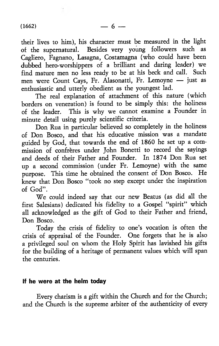their lives to him), his character must be measured in the light of the supernatural. Besides very young followers such as Cagliero, Fagnano, Lasagna, Costamagna (who could have been dubbed hero-worshippers of a brilliant and daring leader) we find mature men no less ready to be at his beck and call. Such men were Count Cays, Fr. Alasonatti, Fr. Lemoyne — just as enthusiastic and utterly obedient as the youngest lad.

The real explanation of attachment of this nature (which borders on veneration) is found to be simply this: the holiness of the leader. This is why we cannot examine a Founder in minute detail using purely scientific criteria.

Don Rua in particular believed so completely in the holiness of Don Bosco, and that his educative mission was a mandate guided by God, that towards the end of 1860 he set up a commission of confreres under John Bonetti to record the sayings and deeds of their Father and Founder. In 1874 Don Rua set up a second commission (under Fr. Lemoyne) with the same purpose. This time he obtained the consent of Don Bosco. He knew that Don Bosco "took no step except under the inspiration of God".

We could indeed say that our new Beatus (as did all the first Salesians) dedicated his fidelity to a Gospel "spirit" which all acknowledged as the gift of God to their Father and friend, Don Bosco.

Today the crisis of fidelity to one's vocation is often the crisis of appraisal of the Founder. One forgets that he is also a privileged soul on whom the Holy Spirit has lavished his gifts for the building of a heritage of permanent values which will span the centuries.

### If he were at the helm today

Every charism is a gift within the Church and for the Church; and the Church is the supreme arbiter of the authenticity of every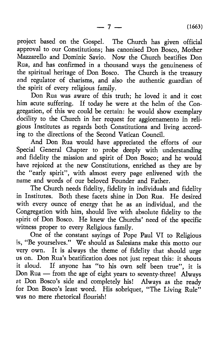project based on the Gospel. The Church has given official approval to our Constitutions; has canonised Don Bosco, Mother Mazzarello and Dominic Savio. Now the Church beatifies Don Rua, and has confirmed in a thousand ways the genuineness of the spiritual heritage of Don Bosco. The Church is the treasury and regulator of charisms, and also the authentic guardian of the spirit of every religious family.

Don Rua was aware of this truth; he loved it and it cost him acute suffering. If today he were at the helm of the Congregation, of this we could be certain: he would show exemplary docility to the Church in her request for aggiornamento in religious Institutes as regards both Constitutions and living according to the directions of the Second Vatican Council.

And Don Rua would have appreciated the efforts of our Special General Chapter to probe deeply with understanding and fidelity the mission and spirit of Don Bosco; and he would have rejoiced at the new Constitutions, enriched as they are by the "early spirit", with almost every page enlivened with the name and words of our beloved Founder and Father.

The Church needs fidelity, fidelity in individuals and fidelity in Institutes. Both these facets shine in Don Rua. He desired with every ounce of energy that he as an individual, and the Congregation with him, should live with absolute fidelity to the spirit of Don Bosco. He knew the Churchs' need of the specific witness proper to every Religious family.

One of the constant sayings of Pope Paul VI to Religious is, " Be yourselves." We should as Salesians make this motto our very own. It is always the theme of fidelity that should urge us on. Don Rua's beatification does not just repeat this: it shouts it aloud. If anyone has "to his own self been true", it is Don Rua — from the age of eight years to seventy-three! Always at Don Bosco's side and completely his! Always as the ready for Don Bosco's least word. His sobriquet, "The Living Rule" was no mere rhetorical flourish!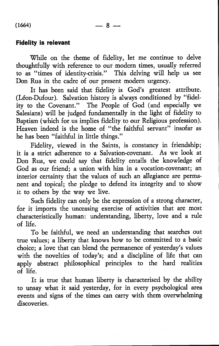### Fidelity is relevant

While on the theme of fidelity, let me continue to delve thoughtfully with reference to our modern times, usually referred to as "times of identity-crisis." This delving will help us see Don Rua in the cadre of our present modern urgency.

It has been said that fidelity is God's greatest attribute. (Léon-Dufour). Salvation history is always conditioned by "fidelity to the Covenant." The People of God (and especially we Salesians) will be judged fundamentally in the light of fidelity to Baptism (which for us implies fidelity to our Religious profession). Heaven indeed is the home of " the faithful servant" insofar as he has been "faithful in little things."

Fidelity, viewed in the Saints, is constancy in friendship; it is a strict adherence to a Salvation-covenant. As we look at Don Rua, we could say that fidelity entails the knowledge of God as our friend; a union with him in a vocation-covenant; an interior certainty that the values of such an allegiance are permanent and topical; the pledge to defend its integrity and to show it to others by the way we live.

Such fidelity can only be the expression of a strong character, for it imports the unceasing exercise of activities that are most characteristically human: understanding, liberty, love and a rule of life.

To be faithful, we need an understanding that searches out true values; a liberty that knows how to be committed to a basic choice; a love that can blend the permanence of yesterday's values with the novelties of today's; and a discipline of life that can apply abstract philosophical principles to the hard realities of life.

It is true that human liberty is characterised by the ability to unsay what it said yesterday, for in every psychological area events and signs of the times can carry with them overwhelming discoveries.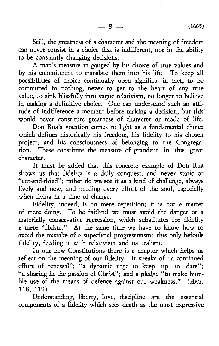Still, the greatness of a character and the meaning of freedom can never consist in a choice that is indifferent, nor in the ability to be constantly changing decisions.

A man's measure in gauged by his choice of true values and by his commitment to translate them into his life. To keep all possibilities of choice continually open signifies, in fact, to be committed to nothing, never to get to the heart of any true value, to sink blissfully into vague relativism, no longer to believe in making a definitive choice. One can understand such an attitude of indifference a moment before making a decision, but this would never constitute greatness of character or mode of life.

Don Rua's vocation comes to light as a fundamental choice which defines historically his freedom, his fidelity to his chosen project, and his consciousness of belonging to the Congregation. These constitute the measure of grandeur in this great character.

It must be added that this concrete example of Don Rua shows us that fidelity is a daily conquest, and never static or " cut-and-dried"; rather do we see it as a kind of challenge, always lively and new, and needing every effort of the soul, especially when living in a time of change.

Fidelity, indeed, is no mere repetition; it is not a matter of mere doing. To be faithful we must avoid the danger of a materially conservative regression, which substitutes for fidelity a mere "fixism." At the same time we have to know how to avoid the mistake of a superficial progressivism: this only befouls fidelity, feeding it with relativism and naturalism.

In our new Constitutions there is a chapter which helps us reflect on the meaning of our fidelity. It speaks of "a continued effort of renewal"; "a dynamic urge to keep up to date"; " a sharing in the passion of Christ"; and a pledge "to make humble use of the means of defence against our weakness." *{Arts.* 118, 119).

Understanding, liberty, love, discipline are the essential components of a fidelity which sees death as the most expressive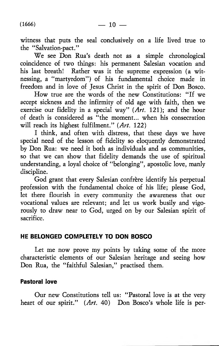witness that puts the seal conclusively on a life lived true to the "Salvation-pact."

We see Don Rua's death not as a simple chronological coincidence of two things: his permanent Salesian vocation and his last breath! Rather was it the supreme expression (a witnessing, a "martyrdom") of his fundamental choice made in freedom and in love of Jesus Christ in the spirit of Don Bosco.

How true are the words of the new Constitutions: " If we accept sickness and the infirmity of old age with faith, then we exercise our fidelity in a special way" *{Art.* 121); and the hour of death is considered as " the moment... when his consecration will reach its highest fulfilment." *{Art.* 122)

I think, and often with distress, that these days we have special need of the lesson of fidelity so eloquently demonstrated by Don Rua: we need it both as individuals and as communities, so that we can show that fidelity demands the use of spiritual understanding, a loyal choice of "belonging", apostolic love, manly discipline.

God grant that every Salesian confrère identify his perpetual profession with the fundamental choice of his life; please God, let there flourish in every community the awareness that our vocational values are relevant; and let us work busily and vigorously to draw near to God, urged on by our Salesian spirit of sacrifice.

# HE BELONGED COMPLETELY TO DON BOSCO

Let me now prove my points by taking some of the more characteristic elements of our Salesian heritage and seeing how Don Rua, the "faithful Salesian," practised them.

# Pastoral love

Our new Constitutions tell us: " Pastoral love is at the very heart of our spirit." (*Art.* 40) Don Bosco's whole life is per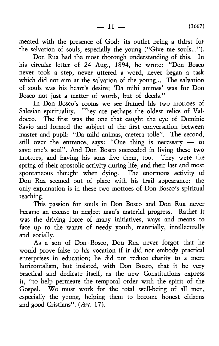meated with the presence of God: its outlet being a thirst for the salvation of souls, especially the young ("Give me souls...").

Don Rua had the most thorough understanding of this. In his circular letter of 24 Aug., 1894, he wrote: "Don Bosco never took a step, never uttered a word, never began a task which did not aim at the salvation of the young... The salvation of souls was his heart's desire; 'Da mihi animas' was for Don Bosco not just a matter of words, but of deeds."

In Don Bosco's rooms we see framed his two mottoes of Salesian spirituality. They are perhaps the oldest relics of Valdocco. The first was the one that caught the eye of Dominic Savio and formed the subject of the first conversation between master and pupil: "Da mihi animas, caetera tolle". The second, still over the entrance, says: "One thing is necessary — to save one's soul". And Don Bosco succeeded in living these two mottoes, and having his sons live them, too. They were the spring of their apostolic activity during life, and their last and most spontaneous thought when dying. The enormous activity of Don Rua seemed out of place with his frail appearance: the only explanation is in these two mottoes of Don Bosco's spiritual teaching.

This passion for souls in Don Bosco and Don Rua never became an excuse to neglect man's material progress. Rather it was the driving force of many initiatives, ways and means to face up to the wants of needy youth, materially, intellectually and socially.

As a son of Don Bosco, Don Rua never forgot that he would prove false to his vocation if it did not embody practical enterprises in education; he did not reduce charity to a mere horizontalism, but insisted, with Don Bosco, that it be very practical and dedicate itself, as the new Constitutions express it, " to help permeate the temporal order with the spirit of the Gospel. We must work for the total well-being of all men, especially the young, helping them to become honest citizens and good Cristians". (Art. 17).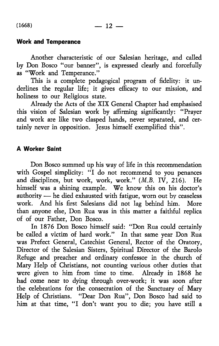# Work and Temperance

Another characteristic of our Salesian heritage, and called by Don Bosco "our banner", is expressed clearly and forcefully as " Work and Temperance."

This is a complete pedagogical program of fidelity: it underlines the regular life; it gives efficacy to our mission, and holiness to our Religious state.

Already the Acts of the XIX General Chapter had emphasised this vision of Salesian work by affirming significantly: " Prayer and work are like two clasped hands, never separated, and certainly never in opposition. Tesus himself exemplified this".

### A Worker Saint

Don Bosco summed up his way of life in this recommendation with Gospel simplicity: "I do not recommend to you penances and disciplines, but work, work, work." (*M.B.* IV, 216). He himself was a shining example. We know this on his doctor's authority — he died exhausted with fatigue, worn out by ceaseless work. And his first Salesians did not lag behind him. More than anyone else, Don Rua was in this matter a faithful replica of of our Father, Don Bosco.

In 1876 Don Bosco himself said: " Don Rua could certainly be called a victim of hard work." In that same year Don Rua was Prefect General, Catechist General, Rector of the Oratory, Director of the Salesian Sisters, Spiritual Director of the Barolo Refuge and preacher and ordinary confessor in the church of Mary Help of Christians, not counting various other duties that were given to him from time to time. Already in 1868 he had come near to dying through over-work; it was soon after the celebrations for the consecration of the Sanctuary of Mary Help of Christians. "Dear Don Rua", Don Bosco had said to him at that time, "I don't want you to die; you have still a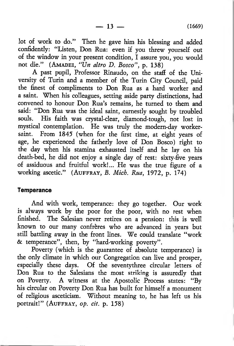lot of work to do." Then he gave him his blessing and added confidently: "Listen, Don Rua: even if you threw yourself out of the window in your present condition, I assure you, you would not die." (AMADEI, "Un altro D. Bosco", p. 138)

A past pupil, Professor Rinaudo, on the staff of the University of Turin and a member of the Turin City Council, paid the finest of compliments to Don Rua as a hard worker and a saint. When his colleagues, setting aside party distinctions, had convened to honour Don Rua's remains, he turned to them and said: " Don Rua was the ideal saint, earnestly sought by troubled souls. His faith was crystal-clear, diamond-tough, not lost in mystical contemplation. He was truly the modern-day workersaint. From 1845 (when for the first time, at eight years of age, he experienced the fatherly love of Don Bosco) right to the day when his stamina exhausted itself and he lay on his death-bed, he did not enjoy a single day of rest: sixty-five years of assiduous and fruitful work!... He was the true figure of a working ascetic." (AUFFRAY, *B. Mich. Rua*, 1972, p. 174)

#### **Temperance**

And with work, temperance: they go together. Our work is always work by the poor for the poor, with no rest when finished. The Salesian never retires on a pension: this is well known to our many confreres who are advanced in years but still battling away in the front lines. We could translate " work & temperance", then, by "hard-working poverty".

Poverty (which is the guarantee of absolute temperance) is the only climate in which our Congregation can live and prosper, especially these days. Of the seventy three circular letters of Don Rua to the Salesians the most striking is assuredly that on Poverty. A witness at the Apostolic Process states: "By his circular on Poverty Don Rua has built for himself a monument of religious asceticism. Without meaning to, he has left us his portrait!" (AUFFRAY, op. cit. p. 158)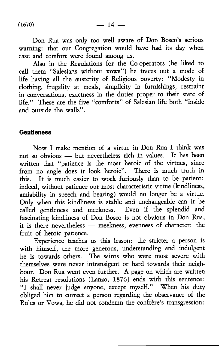Don Rua was only too well aware of Don Bosco's serious warning: that our Congregation would have had its day when ease and comfort were found among us.

Also in the Regulations for the Co-operators (he liked to call them "Salesians without vows") he traces out a mode of life having all the austerity of Religious poverty: " Modesty in clothing, frugality at meals, simplicity in furnishings, restraint in conversations, exactness in the duties proper to their state of life." These are the five "comforts" of Salesian life both "inside and outside the walls".

### Gentleness

Now I make mention of a virtue in Don Rua I think was not so obvious — but nevertheless rich in values. It has been written that "patience is the most heroic of the virtues, since from no angle does it look heroic". There is much truth in this. It is much easier to work furiously than to be patient: indeed, without patience our most characteristic virtue (kindliness, amiability in speech and bearing) would no longer be a virtue. Only when this kindliness is stable and unchangeable can it be called gentleness and meekness. Even if the splendid and fascinating kindliness of Don Bosco is not obvious in Don Rua, it is there nevertheless — meekness, evenness of character: the fruit of heroic patience.

Experience teaches us this lesson: the stricter a person is with himself, the more generous, understanding and indulgent he is towards others. The saints who were most severe with themselves were never intransigent or hard towards their neighbour. Don Rua went even further. A page on which are written his Retreat resolutions (Lanzo, 1876) ends with this sentence: "I shall never judge anyone, except myself." When his duty obliged him to correct a person regarding the observance of the Rules or Vows, he did not condemn the confrere's transgression: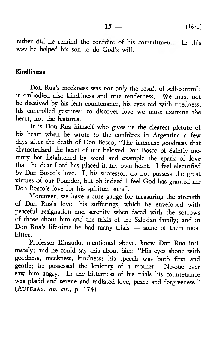$-15$   $-$  (1671)

rather did he remind the confrere of his commitment. In this way he helped his son to do God's will.

### Kindliness

Don Rua's meekness was not only the result of self-control: it embodied also kindliness and true tenderness. We must not be deceived by his lean countenance, his eyes red with tiredness, his controlled gestures; to discover love we must examine the heart, not the features.

It is Don Rua himself who gives us the clearest picture of his heart when he wrote to the confrères in Argentina a few days after the death of Don Bosco, "The immense goodness that characterized the heart of our beloved Don Bosco of Saintly memory has heightened by word and example the spark of love that the dear Lord has placed in my own heart. I feel electrified by Don Bosco's love.  $\bar{I}$ , his successor, do not possess the great virtues of our Founder, but oh indeed I feel God has granted me Don Bosco's love for his spiritual sons".

Moreover, we have a sure gauge for measuring the strength of Don Rua's love: his sufferings, which he enveloped with peaceful resignation and serenity when faced with the sorrows of those about him and the trials of the Salesian family; and in Don Rua's life-time he had many trials — some of them most bitter.

Professor Rinaudo, mentioned above, knew Don Rua intimately; and he could say this about him: "His eyes shone with goodness, meekness, kindness; his speech was both firm and gentle; he possessed the leniency of a mother. No-one ever saw him angry. In the bitterness of his trials his countenance was placid and serene and radiated love, peace and forgiveness." (AUFFRAY, *op. cit.*, p. 174)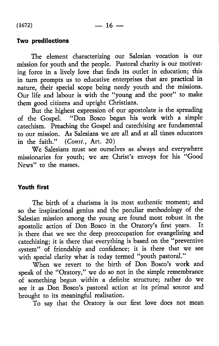# Two predilections

The element characterizing our Salesian vocation is our mission for youth and the people. Pastoral charity is our motivating force in a lively love that finds its outlet in education; this in turn prompts us to educative enterprises that are practical in nature, their special scope being needy youth and the missions. Our life and labour is with the " young and the poor" to make them good citizens and upright Christians.

But the highest expression of our apostolate is the spreading of the Gospel. " Don Bosco began his work with a simple catechism. Preaching the Gospel and catechising are fundamental to our mission. As Salesians we are all and at all times educators in the faith." (*Const.,* Art. 20)

We Salesians must see ourselves as always and everywhere missionaries for youth; we are Christ's envoys for his "Good News" to the masses.

# Youth first

The birth of a charisma is its most authentic moment; and so the inspirational genius and the peculiar methodology of the Salesian mission among the young are found most robust in the apostolic action of Don Bosco in the Oratory's first years. It apostolic action of Don Bosco in the Oratory's first years. is there that we see the deep preoccupation for evangelizing and catechizing; it is there that everything is based on the " preventive system" of friendship and confidence; it is there that we see with special clarity what is today termed "youth pastoral."

When we revert to the birth of Don Bosco's work and speak of the "Oratory," we do so not in the simple remembrance of something begun within a definite structure; rather do we see it as Don Bosco's pastoral action at its primal source and brought to its meaningful realisation.

To say that the Oratory is our first love does not mean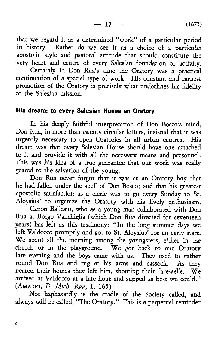$-17 - (1673)$ 

that we regard it as a determined " work" of a particular period in history. Rather do we see it as a choice of a particular apostolic style and pastoral attitude that should constitute the very heart and centre of every Salesian foundation or activity.

Certainly in Don Rua's time the Oratory was a practical continuation of a special type of work. His constant and earnest promotion of the Oratory is precisely what underlines his fidelity to the Salesian mission.

# His dream: to every Salesian House an Oratory

In his deeply faithful interpretation of Don Bosco's mind, Don Rua, in more than twenty circular letters, insisted that it was urgently necessary to open Oratories in all urban centres. His dream was that every Salesian House should have one attached to it and provide it with all the necessary means and personnel. This was his idea of a true guarantee that our work was really geared to the salvation of the young.

Don Rua never forgot that it was as an Oratory boy that he had fallen under the spell of Don Bosco; and that his greatest apostolic satisfaction as a cleric was to go every Sunday to St. Aloysius' to organize the Oratory with his lively enthusiasm.

Canon Ballesio, who as a young man collaborated with Don Rua at Borgo Vanchiglia (which Don Rua directed for seventeen years) has left us this testimony: " In the long summer days we left Valdocco promptly and got to St. Aloysius' for an early start. We spent all the morning among the youngsters, either in the church or in the playground. We got back to our Oratory late evening and the boys came with us. They used to gather round Don Rua and tug at his arms and cassock. As they neared their homes they left him, shouting their farewells. We arrived at Valdocco at a late hour and supped as best we could." (AMADEI, D. Mich. Rua, I, 165)

Not haphazardly is the cradle of the Society called, and always will be called, "The Oratory." This is a perpetual reminder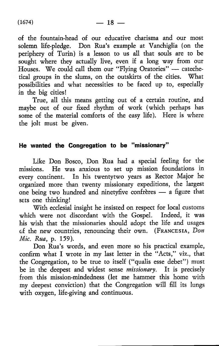of the fountain-head of our educative charisma and our most solemn life-pledge. Don Rua's example at Vanchiglia (on the periphery of Turin) is a lesson to us all that souls are to be sought where they actually live, even if a long way from our Houses. We could call them our " Flying Oratories" — catechetical groups in the slums, on the outskirts of the cities. What possibilities and what necessities to be faced up to, especially in the big cities!

True, all this means getting out of a certain routine, and maybe out of our fixed rhythm of work (which perhaps has some of the material comforts of the easy life). Here is where the jolt must be given.

# He wanted the Congregation to be "missionary"

Like Don Bosco, Don Rua had a special feeling for the missions. He was anxious to set up mission foundations in every continent. In his twentytwo years as Rector Major he organized more than twenty missionary expeditions, the largest one being two hundred and ninetyfive confreres — a figure that sets one thinking!

With ecclesial insight he insisted on respect for local customs which were not discordant with the Gospel. Indeed, it was his wish that the missionaries should adopt the life and usages of the new countries, renouncing their own. (FRANCESIA, *Don Mic. Rua,* p. 159).

Don Rua's words, and even more so his practical example, confirm what I wrote in my last letter in the "Acts," viz., that the Congregation, to be true to itself ("qualis esse debet") must be in the deepest and widest sense *missionary.* It is precisely from this mission-mindedness (let me hammer this home with my deepest conviction) that the Congregation will fill its lungs with oxygen, life-giving and continuous.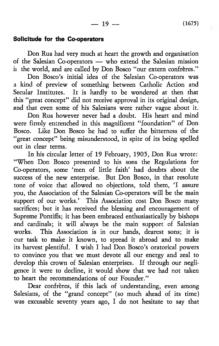### Solicitude for the Co-operators

Don Rua had very much at heart the growth and organisation of the Salesian Co-operators — who extend the Salesian mission ii the world, and are called by Don Bosco "our extern confrères."

Don Bosco's initial idea of the Salesian Co-operators was a kind of preview of something between Catholic Action and Secular Institutes. It is hardly to be wondered at then that this " great concept" did not receive approval in its original design, and that even some of his Salesians were rather vague about it.

Don Rua however never had a doubt. His heart and mind were firmly entrenched in this magnificent "foundation" of Don Bosco. Like Don Bosco he had to suffer the bitterness of the "great concept" being misunderstood, in spite of its being spelled out in clear terms.

In his circular letter of 19 February, 1905, Don Rua wrote: " When Don Bosco presented to his sons the Regulations for Co-operators, some 'men of little faith' had doubts about the success of the new enterprise. But Don Bosco, in that resolute tone of voice that allowed no objections, told them, 'I assure you, the Association of the Salesian Co-operators will be the main support of our works.' This Association cost Don Bosco many sacrifices; but it has received the blessing and encouragement of Supreme Pontiffs; it has been embraced enthusiastically by bishops and cardinals; it will always be the main support of Salesian works. This Association is in our hands, dearest sons; it is cur task to make it known, to spread it abroad and to make its harvest plentiful. I wish I had Don Bosco's oratorical powers to convince you that we must devote all our energy and zeal to develop this crown of Salesian enterprises. If through our negligence it were to decline, it would show that we had not taken to heart the recommendations of our Founder."

Dear confrères, if this lack of understanding, even among Salesians, of the "grand concept" (so much ahead of its time) was excusable seventy years ago, I do not hesitate to say that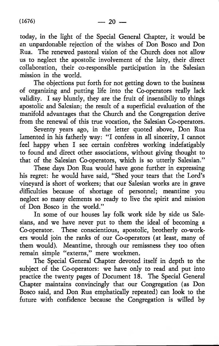today, in the light of the Special General Chapter, it would be an unpardonable rejection of the wishes of Don Bosco and Don Rua. The renewed pastoral vision of the Church does not allow us to neglect the apostolic involvement of the laity, their direct collaboration, their co-responsible participation in the Salesian mission in the world.

The objections put forth for not getting down to the business of organizing and putting life into the Co-operators really lack validity. I say bluntly, they are the fruit of insensibiliy to things apostolic and Salesian; the result of a superficial evaluation of the manifold advantages that the Church and the Congregation derive from the renewal of this true vocation, the Salesian Co-operators.

Seventy years ago, in the letter quoted above, Don Rua lamented in his fatherly way: "I confess in all sincerity, I cannot feel happy when I see certain confreres working indefatigably to found and direct other associations, without giving thought to that of the Salesian Co-operators, which is so utterly Salesian."

These days Don Rua would have gone further in expressing his regret: he would have said, "Shed your tears that the Lord's vineyard is short of workers; that our Salesian works are in grave difficulties because of shortage of personnel; meantime you neglect so many elements so ready to live the spirit and mission of Don Bosco in the world."

In some of our houses lay folk work side by side us Salesians, and we have never put to them the ideal of becoming a Co-operator. These conscientious, apostolic, brotherly co-workers would join the ranks of our Co-operators (at least, many of them would). Meantime, through our remissness they too often remain simple "externs," mere workmen.

The Special General Chapter devoted itself in depth to the subject of the Co-operators: we have only to read and put into practice the twenty pages of Document 18. The Special General Chapter maintains convincingly that our Congregation (as Don Bosco said, and Don Rua emphatically repeated) can look to the future with confidence because the Congregation is willed by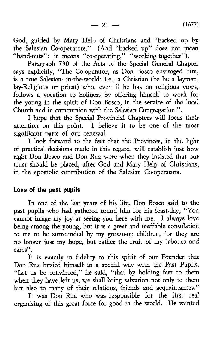God, guided by Mary Help of Christians and "backed up by the Salesian Co-operators." (And "backed up" does not mean "hand-outs": it means "co-operating," "working together").

Paragraph 730 of the Acts of the Special General Chapter says explicitly, "The Co-operator, as Don Bosco envisaged him, is a true Salesian- in-the-world; i.e., a Christian (be he a layman, lay-Religious or priest) who, even if he has no religious vows, follows a vocation to holiness by offering himself to work for the young in the spirit of Don Bosco, in the service of the local Church and in communion with the Salesian Congregation.".

I hope that the Special Provincial Chapters will focus their attention on this point. I believe it to be one of the most significant parts of our renewal.

I look forward to the fact that the Provinces, in the light of practical decisions made in this regard, will establish just how right Don Bosco and Don Rua were when they insisted that our trust should be placed, after God and Mary Help of Christians, in the apostolic contribution of the Salesian Co-operators.

### Love of the past pupils

In one of the last years of his life, Don Bosco said to the past pupils who had gathered round him for his feast-day, " You cannot image my joy at seeing you here with me. I always love being among the young, but it is a great and ineffable consolation to me to be surrounded by my grown-up children, for they are no longer just my hope, but rather the fruit of my labours and cares".

It is exactly in fidelity to this spirit of our Founder that Don Rua busied himself in a special way with the Past Pupils. " Let us be convinced," he said, " that by holding fast to them when they have left us, we shall bring salvation not only to them but also to many of their relations, friends and acquaintances."

It was Don Rua who was responsible for the first real organizing of this great force for good in the world. He wanted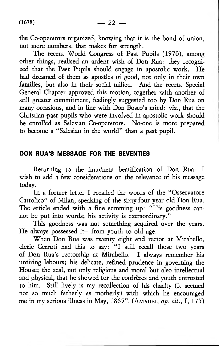the Co-operators organized, knowing that it is the bond of union, not mere numbers, that makes for strength.

The recent World Congress of Past Pupils (1970), among other things, realised an ardent wish of Don Rua: they recognized that the Past Pupils should engage in apostolic work. He had dreamed of them as apostles of good, not only in their own families, but also in their social milieu. And the recent Special General Chapter approved this motion, together with another of still greater commitment, feelingly suggested too by Don Rua on many occasions, and in line with Don Bosco's mind: viz., that the Christian past pupils who were involved in apostolic work should be enrolled as Salesian Co-operators. No-one is more prepared to become a "Salesian in the world" than a past pupil.

### DON RUA'S MESSAGE FOR THE SEVENTIES

Returning to the imminent beatification of Don Rua: I wish to add a few considerations on the relevance of his message today.

In a former letter I recalled the words of the "Osservatore Cattolico" of Milan, speaking of the sixty-four year old Don Rua. The article ended with a fine summing up: "His goodness cannot be put into words; his activity is extraordinary."

This goodness was not something acquired over the years. He always possessed it—from youth to old age.

When Don Rua was twenty eight and rector at Mirabello, cleric Cerruti had this to say: "I still recall those two years of Don Rua's rectorship at Mirabello. I always remember his untiring labours; his delicate, refined prudence in governing the House; the zeal, not only religious and moral but also intellectual and physical, that he showed for the confrères and youth entrusted to him. Still lively is my recollection of his charity (it seemed not so much fatherly as motherly) with which he encouraged me in my serious illness in May, 1865". (AMADEI, op. cit., I, 175)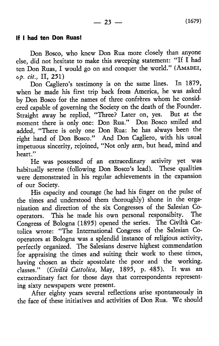### If I had ten Don Ruas!

Don Bosco, who knew Don Rua more closely than anyone else, did not hesitate to make this sweeping statement: " If I had ten Don Ruas, I would go on and conquer the world." (AMADEI, *op. cit.,* II, 251)

Don Cagliero's testimony is on the same lines. In 1879, when he made his first trip back from America, he was asked by Don Bosco for the names of three confreres whom he considered capable of governing the Society on the death of the Founder. Straight away he replied, "Three? Later on, yes. But at the moment there is only one: Don Rua." Don Bosco smiled and added, " There is only one Don Rua: he has always been the right hand of Don Bosco." And Don Cagliero, with his usual impetuous sincerity, rejoined, " Not only arm, but head, mind and heart."

He was possessed of an extraordinary activity yet was habitually serene (following Don Bosco's lead). These qualities were demonstrated in his regular achievements in the expansion of our Society.

His capacity and courage (he had his finger on the pulse of the times and understood them thoroughly) shone in the organization and direction of the six Congresses of the Salesian Cooperators. This he made his own personal responsibity. Congress of Bologna (1895) opened the series. The Civilta Cattolica wrote: " The International Congress of the Salesian Cooperators at Bologna was a splendid instance of religious activity, perfectly organized. The Salesians deserve highest commendation for appraising the times and suiting their work to these times, having chosen as their apostolate the poor and the working, classes." *(Civilta Cattolica,* May, 1895, p. 485). It was an extraordinary fact for those days that correspondents representing sixty newspapers were present.

After eighty years several reflections arise spontaneously in the face of these initiatives and activities of Don Rua. We should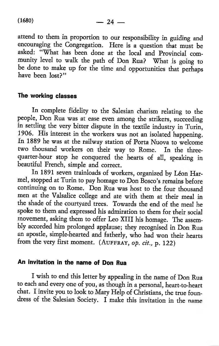attend to them in proportion to our responsibility in guiding and encouraging the Congregation. Here is a question that must be asked: " What has been done at the local and Provincial community level to walk the path of Don Rua? What is going to be done to make up for the time and opportunities that perhaps have been lost?"

### The working classes

In complete fidelity to the Salesian charism relating to the people, Don Rua was at ease even among the strikers, succeeding in settling the very bitter dispute in the textile industry in Turin, 1906. His interest in the workers was not an isolated happening. In 1889 he was at the railway station of Porta Nuova to welcome two thousand workers on their way to Rome. In the threequarter-hour stop he conquered the hearts of all, speaking in beautiful French, simple and correct.

In 1891 seven trainloads of workers, organized by Léon Harmel, stopped at Turin to pay homage to Don Bosco's remains before continuing on to Rome. Don Rua was host to the four thousand men at the Valsalice college and ate with them at their meal in the shade of the courtyard trees. Towards the end of the meal he spoke to them and expressed his admiration to them for their social movement, asking them to offer Leo XIII his homage. The assembly accorded him prolonged applause; they recognised in Don Rua an apostle, simple-hearted and fatherly, who had won their hearts from the very first moment. (AUFFRAY, *op. cit.*, p. 122)

# An invitation in the name of Don Rua

I wish to end this letter by appealing in the name of Don Rua to each and every one of you, as though in a personal, heart-to-heart chat. I invite you to look to Mary Help of Christians, the true foundress of the Salesian Society. I make this invitation in the name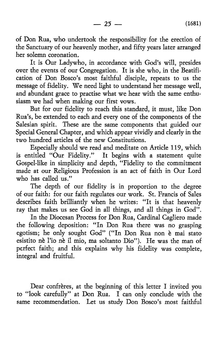$-25$   $-$  (1681)

of Don Rua, who undertook the responsibility for the erection of the Sanctuary of our heavenly mother, and fifty years later arranged her solemn coronation.

It is Our Ladywho, in accordance with God's will, presides over the events of our Congregation. It is she who, in the Beatification of Don Bosco's most faithful disciple, repeats to us the message of fidelity. We need light to understand her message well, and abundant grace to practise what we hear with the same enthusiasm we had when making our first vows.

But for our fidelity to reach this standard, it must, like Don Rua's, be extended to each and every one of the components of the Salesian spirit. These are the same components that guided our Special General Chapter, and which appear vividly and clearly in the two hundred articles of the new Constitutions.

Especially should we read and meditate on Article 119, which is entitled "Our Fidelity." It begins with a statement quite Gospel-like in simplicity and depth, " Fidelity to the commitment made at our Religious Profession is an act of faith in Our Lord who has called us."

The depth of our fidelity is in proportion to the degree of our faith: for our faith regulates our work. St. Francis of Sales describes faith brilliantly when he writes: "It is that heavenly ray that makes us see God in all things, and all things in God".

In the Diocesan Process for Don Rua, Cardinal Cagliero made the following deposition: "In Don Rua there was no grasping egotism; he only sought God" ("In Don Rua non è mai stato esistito nè l'io nè il mio, ma soltanto Dio"). He was the man of perfect faith; and this explains why his fidelity was complete, integral and fruitful.

Dear confreres, at the beginning of this letter I invited you to "look carefully" at Don Rua. I can only conclude with the same recommendation. Let us study Don Bosco's most faithful